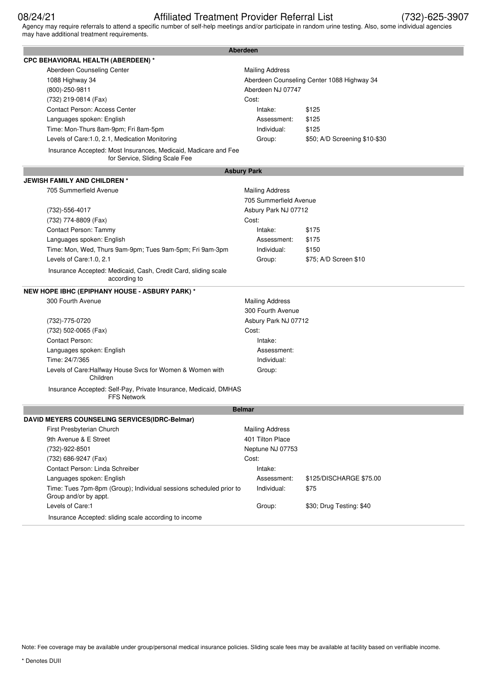# 08/24/21 Affiliated Treatment Provider Referral List (732)-625-3907

Agency may require referrals to attend a specific number of self-help meetings and/or participate in random urine testing. Also, some individual agencies may have additional treatment requirements.

| <b>Aberdeen</b>                                                                                   |                        |                                            |  |
|---------------------------------------------------------------------------------------------------|------------------------|--------------------------------------------|--|
| <b>CPC BEHAVIORAL HEALTH (ABERDEEN) *</b>                                                         |                        |                                            |  |
| Aberdeen Counseling Center                                                                        | <b>Mailing Address</b> |                                            |  |
| 1088 Highway 34                                                                                   |                        | Aberdeen Counseling Center 1088 Highway 34 |  |
| (800)-250-9811                                                                                    | Aberdeen NJ 07747      |                                            |  |
| (732) 219-0814 (Fax)                                                                              | Cost:                  |                                            |  |
| Contact Person: Access Center                                                                     | Intake:                | \$125                                      |  |
| Languages spoken: English                                                                         | Assessment:            | \$125                                      |  |
| Time: Mon-Thurs 8am-9pm; Fri 8am-5pm                                                              | Individual:            | \$125                                      |  |
| Levels of Care:1.0, 2.1, Medication Monitoring                                                    | Group:                 | \$50; A/D Screening \$10-\$30              |  |
| Insurance Accepted: Most Insurances, Medicaid, Madicare and Fee<br>for Service, Sliding Scale Fee |                        |                                            |  |
|                                                                                                   | <b>Asbury Park</b>     |                                            |  |
| <b>JEWISH FAMILY AND CHILDREN *</b>                                                               |                        |                                            |  |
| 705 Summerfield Avenue                                                                            | <b>Mailing Address</b> |                                            |  |
|                                                                                                   | 705 Summerfield Avenue |                                            |  |
| (732)-556-4017                                                                                    | Asbury Park NJ 07712   |                                            |  |
| (732) 774-8809 (Fax)                                                                              | Cost:                  |                                            |  |
| Contact Person: Tammy                                                                             | Intake:                | \$175                                      |  |
| Languages spoken: English                                                                         | Assessment:            | \$175                                      |  |
| Time: Mon, Wed, Thurs 9am-9pm; Tues 9am-5pm; Fri 9am-3pm                                          | Individual:            | \$150                                      |  |
| Levels of Care:1.0, 2.1                                                                           | Group:                 | \$75; A/D Screen \$10                      |  |
| Insurance Accepted: Medicaid, Cash, Credit Card, sliding scale<br>according to                    |                        |                                            |  |
| NEW HOPE IBHC (EPIPHANY HOUSE - ASBURY PARK) *                                                    |                        |                                            |  |
| 300 Fourth Avenue                                                                                 | <b>Mailing Address</b> |                                            |  |
|                                                                                                   | 300 Fourth Avenue      |                                            |  |
| (732)-775-0720                                                                                    | Asbury Park NJ 07712   |                                            |  |
| (732) 502-0065 (Fax)                                                                              | Cost:                  |                                            |  |
| Contact Person:                                                                                   | Intake:                |                                            |  |
| Languages spoken: English                                                                         | Assessment:            |                                            |  |
| Time: 24/7/365                                                                                    | Individual:            |                                            |  |
| Levels of Care: Halfway House Svcs for Women & Women with<br>Children                             | Group:                 |                                            |  |
| Insurance Accepted: Self-Pay, Private Insurance, Medicaid, DMHAS<br><b>FFS Network</b>            |                        |                                            |  |
|                                                                                                   | <b>Belmar</b>          |                                            |  |
| DAVID MEYERS COUNSELING SERVICES(IDRC-Belmar)                                                     |                        |                                            |  |
| First Presbyterian Church                                                                         | <b>Mailing Address</b> |                                            |  |
| 9th Avenue & E Street                                                                             | 401 Tilton Place       |                                            |  |
| (732)-922-8501                                                                                    | Neptune NJ 07753       |                                            |  |
| (732) 686-9247 (Fax)                                                                              | Cost:                  |                                            |  |
| Contact Person: Linda Schreiber                                                                   | Intake:                |                                            |  |
| Languages spoken: English                                                                         | Assessment:            | \$125/DISCHARGE \$75.00                    |  |
| Time: Tues 7pm-8pm (Group); Individual sessions scheduled prior to<br>Group and/or by appt.       | Individual:            | \$75                                       |  |
| Levels of Care:1                                                                                  | Group:                 | \$30; Drug Testing: \$40                   |  |
| Insurance Accepted: sliding scale according to income                                             |                        |                                            |  |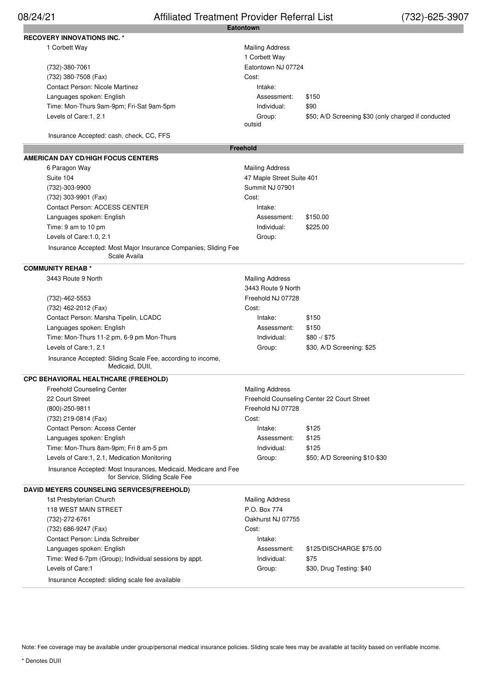### **Eatontown** 08/24/21 Affiliated Treatment Provider Referral List (732)-625-3907

| <b>RECOVERY INNOVATIONS INC. *</b>                                                                |                           |                                                     |
|---------------------------------------------------------------------------------------------------|---------------------------|-----------------------------------------------------|
| 1 Corbett Way                                                                                     | <b>Mailing Address</b>    |                                                     |
|                                                                                                   | 1 Corbett Way             |                                                     |
| (732)-380-7061                                                                                    | Eatontown NJ 07724        |                                                     |
| (732) 380-7508 (Fax)                                                                              | Cost:                     |                                                     |
| <b>Contact Person: Nicole Martinez</b>                                                            | Intake:                   |                                                     |
| Languages spoken: English                                                                         | Assessment:               | \$150                                               |
| Time: Mon-Thurs 9am-9pm; Fri-Sat 9am-5pm                                                          | Individual:               | \$90                                                |
| Levels of Care:1, 2.1                                                                             | Group:                    | \$50; A/D Screening \$30 (only charged if conducted |
|                                                                                                   | outsid                    |                                                     |
| Insurance Accepted: cash, check, CC, FFS                                                          |                           |                                                     |
|                                                                                                   | <b>Freehold</b>           |                                                     |
| AMERICAN DAY CD/HIGH FOCUS CENTERS                                                                |                           |                                                     |
| 6 Paragon Way                                                                                     | <b>Mailing Address</b>    |                                                     |
| Suite 104                                                                                         | 47 Maple Street Suite 401 |                                                     |
| (732)-303-9900                                                                                    | Summit NJ 07901           |                                                     |
| (732) 303-9901 (Fax)                                                                              | Cost:                     |                                                     |
| Contact Person: ACCESS CENTER                                                                     | Intake:                   |                                                     |
| Languages spoken: English                                                                         | Assessment:               | \$150.00                                            |
| Time: 9 am to 10 pm                                                                               | Individual:               | \$225.00                                            |
| Levels of Care: 1.0, 2.1                                                                          | Group:                    |                                                     |
| Insurance Accepted: Most Major Insurance Companies; Sliding Fee<br>Scale Availa                   |                           |                                                     |
| <b>COMMUNITY REHAB *</b>                                                                          |                           |                                                     |
| 3443 Route 9 North                                                                                | <b>Mailing Address</b>    |                                                     |
|                                                                                                   | 3443 Route 9 North        |                                                     |
| (732)-462-5553                                                                                    | Freehold NJ 07728         |                                                     |
| (732) 462-2012 (Fax)                                                                              | Cost:                     |                                                     |
| Contact Person: Marsha Tipelin, LCADC                                                             | Intake:                   | \$150                                               |
| Languages spoken: English                                                                         | Assessment:               | \$150                                               |
| Time: Mon-Thurs 11-2 pm, 6-9 pm Mon-Thurs                                                         | Individual:               | $$80 - / $75$                                       |
| Levels of Care:1, 2.1                                                                             | Group:                    | \$30, A/D Screening: \$25                           |
| Insurance Accepted: Sliding Scale Fee, according to income,<br>Medicaid, DUII,                    |                           |                                                     |
| <b>CPC BEHAVIORAL HEALTHCARE (FREEHOLD)</b>                                                       |                           |                                                     |
| Freehold Counseling Center                                                                        | <b>Mailing Address</b>    |                                                     |
| 22 Court Street                                                                                   |                           | Freehold Counseling Center 22 Court Street          |
| (800)-250-9811                                                                                    | Freehold NJ 07728         |                                                     |
| (732) 219-0814 (Fax)                                                                              | Cost:                     |                                                     |
| <b>Contact Person: Access Center</b>                                                              | Intake:                   | \$125                                               |
| Languages spoken: English                                                                         | Assessment:               | \$125                                               |
| Time: Mon-Thurs 8am-9pm; Fri 8 am-5 pm                                                            | Individual:               | \$125                                               |
| Levels of Care:1, 2.1, Medication Monitoring                                                      | Group:                    | \$50; A/D Screening \$10-\$30                       |
| Insurance Accepted: Most Insurances, Medicaid, Medicare and Fee<br>for Service, Sliding Scale Fee |                           |                                                     |
| <b>DAVID MEYERS COUNSELING SERVICES(FREEHOLD)</b>                                                 |                           |                                                     |
| 1st Presbyterian Church                                                                           | <b>Mailing Address</b>    |                                                     |
| <b>118 WEST MAIN STREET</b>                                                                       | P.O. Box 774              |                                                     |
| (732)-272-6761                                                                                    | Oakhurst NJ 07755         |                                                     |
| (732) 686-9247 (Fax)                                                                              | Cost:                     |                                                     |
| Contact Person: Linda Schreiber                                                                   | Intake:                   |                                                     |
| Languages spoken: English                                                                         | Assessment:               | \$125/DISCHARGE \$75.00                             |
| Time: Wed 6-7pm (Group); Individual sessions by appt.                                             | Individual:               | \$75                                                |
| Levels of Care:1                                                                                  | Group:                    | \$30, Drug Testing: \$40                            |
| Insurance Accepted: sliding scale fee available                                                   |                           |                                                     |
|                                                                                                   |                           |                                                     |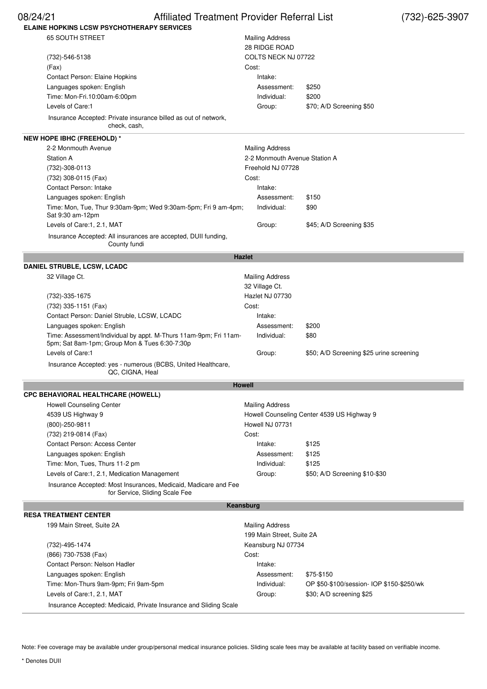| 08/24/21<br>Affiliated Treatment Provider Referral List                                                           |                               |                                          | (732)-625-3907 |
|-------------------------------------------------------------------------------------------------------------------|-------------------------------|------------------------------------------|----------------|
| <b>ELAINE HOPKINS LCSW PSYCHOTHERAPY SERVICES</b>                                                                 |                               |                                          |                |
| <b>65 SOUTH STREET</b>                                                                                            | <b>Mailing Address</b>        |                                          |                |
|                                                                                                                   | <b>28 RIDGE ROAD</b>          |                                          |                |
| (732)-546-5138                                                                                                    | COLTS NECK NJ 07722           |                                          |                |
| (Fax)                                                                                                             | Cost:                         |                                          |                |
| Contact Person: Elaine Hopkins                                                                                    | Intake:                       |                                          |                |
| Languages spoken: English                                                                                         | Assessment:                   | \$250                                    |                |
| Time: Mon-Fri.10:00am-6:00pm                                                                                      | Individual:                   | \$200                                    |                |
| Levels of Care:1                                                                                                  | Group:                        | \$70; A/D Screening \$50                 |                |
| Insurance Accepted: Private insurance billed as out of network,<br>check, cash,                                   |                               |                                          |                |
| <b>NEW HOPE IBHC (FREEHOLD) *</b>                                                                                 |                               |                                          |                |
| 2-2 Monmouth Avenue                                                                                               | <b>Mailing Address</b>        |                                          |                |
| <b>Station A</b>                                                                                                  | 2-2 Monmouth Avenue Station A |                                          |                |
| (732)-308-0113                                                                                                    | Freehold NJ 07728             |                                          |                |
| (732) 308-0115 (Fax)                                                                                              | Cost:                         |                                          |                |
| <b>Contact Person: Intake</b>                                                                                     | Intake:                       |                                          |                |
| Languages spoken: English                                                                                         | Assessment:                   | \$150                                    |                |
| Time: Mon, Tue, Thur 9:30am-9pm; Wed 9:30am-5pm; Fri 9 am-4pm;<br>Sat 9:30 am-12pm                                | Individual:                   | \$90                                     |                |
| Levels of Care:1, 2.1, MAT                                                                                        | Group:                        | \$45; A/D Screening \$35                 |                |
| Insurance Accepted: All insurances are accepted, DUII funding,<br>County fundi                                    |                               |                                          |                |
| <b>Hazlet</b>                                                                                                     |                               |                                          |                |
| <b>DANIEL STRUBLE, LCSW, LCADC</b>                                                                                |                               |                                          |                |
| 32 Village Ct.                                                                                                    | <b>Mailing Address</b>        |                                          |                |
|                                                                                                                   | 32 Village Ct.                |                                          |                |
| (732)-335-1675                                                                                                    | Hazlet NJ 07730               |                                          |                |
| (732) 335-1151 (Fax)                                                                                              | Cost:                         |                                          |                |
| Contact Person: Daniel Struble, LCSW, LCADC                                                                       | Intake:                       |                                          |                |
| Languages spoken: English                                                                                         | Assessment:                   | \$200                                    |                |
| Time: Assessment/Individual by appt. M-Thurs 11am-9pm; Fri 11am-<br>5pm; Sat 8am-1pm; Group Mon & Tues 6:30-7:30p | Individual:                   | \$80                                     |                |
| Levels of Care:1                                                                                                  | Group:                        | \$50; A/D Screening \$25 urine screening |                |
| Insurance Accepted: yes - numerous (BCBS, United Healthcare,<br>QC, CIGNA, Heal                                   |                               |                                          |                |

# **CPC BEHAVIORAL HEALTHCARE (HOWELL)**

**Howell**

| , BENAVIORAL NEAL I NCARE (NOWELL)                                                                |                                            |                               |  |
|---------------------------------------------------------------------------------------------------|--------------------------------------------|-------------------------------|--|
| <b>Howell Counseling Center</b>                                                                   | <b>Mailing Address</b>                     |                               |  |
| 4539 US Highway 9                                                                                 | Howell Counseling Center 4539 US Highway 9 |                               |  |
| (800)-250-9811                                                                                    | Howell NJ 07731                            |                               |  |
| (732) 219-0814 (Fax)                                                                              | Cost:                                      |                               |  |
| <b>Contact Person: Access Center</b>                                                              | Intake:                                    | \$125                         |  |
| Languages spoken: English                                                                         | Assessment:                                | \$125                         |  |
| Time: Mon, Tues, Thurs 11-2 pm                                                                    | Individual:                                | \$125                         |  |
| Levels of Care:1, 2.1, Medication Management                                                      | Group:                                     | \$50; A/D Screening \$10-\$30 |  |
| Insurance Accepted: Most Insurances, Medicaid, Madicare and Fee<br>for Service, Sliding Scale Fee |                                            |                               |  |

## **RESA TREATMENT CENTER**

**Keansburg**

|                           | JA IIILAIMENI VENIEN                                              |                           |                                           |  |
|---------------------------|-------------------------------------------------------------------|---------------------------|-------------------------------------------|--|
| 199 Main Street, Suite 2A |                                                                   | <b>Mailing Address</b>    |                                           |  |
|                           |                                                                   | 199 Main Street, Suite 2A |                                           |  |
|                           | (732)-495-1474                                                    | Keansburg NJ 07734        |                                           |  |
|                           | (866) 730-7538 (Fax)                                              | Cost:                     |                                           |  |
|                           | Contact Person: Nelson Hadler                                     | Intake:                   |                                           |  |
|                           | Languages spoken: English                                         | Assessment:               | \$75-\$150                                |  |
|                           | Time: Mon-Thurs 9am-9pm; Fri 9am-5pm                              | Individual:               | OP \$50-\$100/session- IOP \$150-\$250/wk |  |
|                           | Levels of Care:1, 2.1, MAT                                        | Group:                    | \$30; A/D screening \$25                  |  |
|                           | Insurance Accepted: Medicaid, Private Insurance and Sliding Scale |                           |                                           |  |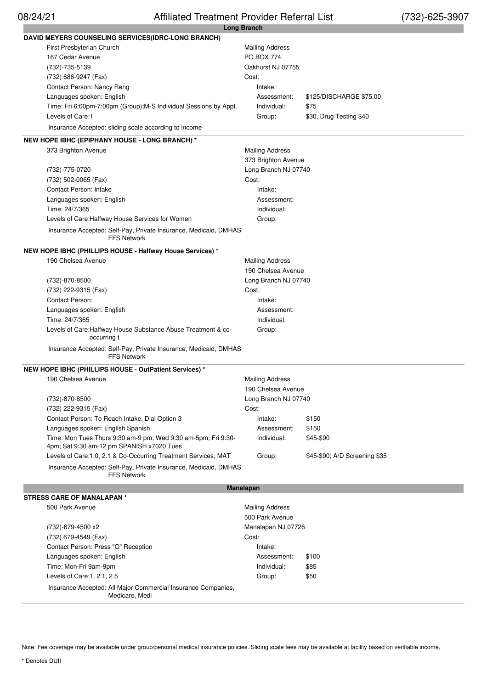# 08/24/21 Affiliated Treatment Provider Referral List (732)-625-3907

|                                                                                        | Long Branch            |                               |
|----------------------------------------------------------------------------------------|------------------------|-------------------------------|
| <b>DAVID MEYERS COUNSELING SERVICES(IDRC-LONG BRANCH)</b>                              |                        |                               |
| First Presbyterian Church                                                              | <b>Mailing Address</b> |                               |
| 167 Cedar Avenue                                                                       | <b>PO BOX 774</b>      |                               |
| (732)-735-5139                                                                         | Oakhurst NJ 07755      |                               |
| (732) 686-9247 (Fax)                                                                   | Cost:                  |                               |
| Contact Person: Nancy Reng                                                             | Intake:                |                               |
| Languages spoken: English                                                              | Assessment:            | \$125/DISCHARGE \$75.00       |
| Time: Fri 6:00pm-7:00pm (Group); M-S Individual Sessions by Appt.                      | Individual:            | \$75                          |
| Levels of Care:1                                                                       | Group:                 | \$30, Drug Testing \$40       |
| Insurance Accepted: sliding scale according to income                                  |                        |                               |
|                                                                                        |                        |                               |
| <b>NEW HOPE IBHC (EPIPHANY HOUSE - LONG BRANCH) *</b>                                  |                        |                               |
| 373 Brighton Avenue                                                                    | <b>Mailing Address</b> |                               |
|                                                                                        | 373 Brighton Avenue    |                               |
| (732)-775-0720                                                                         | Long Branch NJ 07740   |                               |
| (732) 502-0065 (Fax)                                                                   | Cost:                  |                               |
| <b>Contact Person: Intake</b>                                                          | Intake:                |                               |
| Languages spoken: English                                                              | Assessment:            |                               |
| Time: 24/7/365                                                                         | Individual:            |                               |
| Levels of Care: Halfway House Services for Women                                       | Group:                 |                               |
| Insurance Accepted: Self-Pay, Private Insurance, Medicaid, DMHAS<br><b>FFS Network</b> |                        |                               |
| NEW HOPE IBHC (PHILLIPS HOUSE - Halfway House Services) *                              |                        |                               |
| 190 Chelsea Avenue                                                                     | <b>Mailing Address</b> |                               |
|                                                                                        | 190 Chelsea Avenue     |                               |
|                                                                                        |                        |                               |
| (732)-870-8500                                                                         | Long Branch NJ 07740   |                               |
| (732) 222-9315 (Fax)                                                                   | Cost:                  |                               |
| Contact Person:                                                                        | Intake:                |                               |
| Languages spoken: English                                                              | Assessment:            |                               |
| Time: 24/7/365                                                                         | Individual:            |                               |
| Levels of Care: Halfway House Substance Abuse Treatment & co-<br>occurring t           | Group:                 |                               |
| Insurance Accepted: Self-Pay, Private Insurance, Medicaid, DMHAS<br><b>FFS Network</b> |                        |                               |
| NEW HOPE IBHC (PHILLIPS HOUSE - OutPatient Services) *                                 |                        |                               |
| 190 Chelsea Avenue                                                                     | <b>Mailing Address</b> |                               |
|                                                                                        | 190 Chelsea Avenue     |                               |
| (732)-870-8500                                                                         | Long Branch NJ 07740   |                               |
| (732) 222-9315 (Fax)                                                                   | Cost:                  |                               |
| Contact Person: To Reach Intake, Dial Option 3                                         | Intake:                | \$150                         |
| Languages spoken: English Spanish                                                      | Assessment:            | \$150                         |
| Time: Mon Tues Thurs 9:30 am-9 pm; Wed 9:30 am-5pm; Fri 9:30-                          | Individual:            | \$45-\$90                     |
| 4pm; Sat 9:30 am-12 pm SPANISH x7020 Tues                                              |                        |                               |
| Levels of Care:1.0, 2.1 & Co-Occurring Treatment Services, MAT                         | Group:                 | \$45-\$90; A/D Screening \$35 |
| Insurance Accepted: Self-Pay, Private Insurance, Medicaid, DMHAS<br><b>FFS Network</b> |                        |                               |
|                                                                                        |                        |                               |
|                                                                                        | <b>Manalapan</b>       |                               |
| <b>STRESS CARE OF MANALAPAN*</b>                                                       |                        |                               |
| 500 Park Avenue                                                                        | <b>Mailing Address</b> |                               |
|                                                                                        | 500 Park Avenue        |                               |
| (732)-679-4500 x2                                                                      | Manalapan NJ 07726     |                               |
| (732) 679-4549 (Fax)                                                                   | Cost:                  |                               |
| Contact Person: Press "O" Reception                                                    | Intake:                |                               |
| Languages spoken: English                                                              | Assessment:            | \$100                         |
| Time: Mon-Fri 9am-9pm                                                                  | Individual:            | \$85                          |
| Levels of Care:1, 2.1, 2.5                                                             | Group:                 | \$50                          |
| Insurance Accepted: All Major Commercial Insurance Companies,<br>Medicare, Medi        |                        |                               |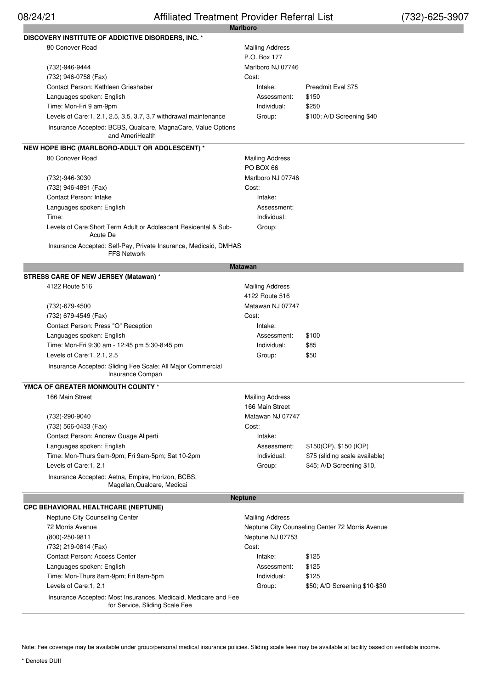| DISCOVERY INSTITUTE OF ADDICTIVE DISORDERS, INC. *                                                |                        |                                                 |
|---------------------------------------------------------------------------------------------------|------------------------|-------------------------------------------------|
| 80 Conover Road                                                                                   | <b>Mailing Address</b> |                                                 |
|                                                                                                   | P.O. Box 177           |                                                 |
| (732)-946-9444                                                                                    | Marlboro NJ 07746      |                                                 |
| (732) 946-0758 (Fax)                                                                              | Cost:                  |                                                 |
| Contact Person: Kathleen Grieshaber                                                               | Intake:                | Preadmit Eval \$75                              |
| Languages spoken: English                                                                         | Assessment:            | \$150                                           |
| Time: Mon-Fri 9 am-9pm                                                                            | Individual:            | \$250                                           |
| Levels of Care:1, 2.1, 2.5, 3.5, 3.7, 3.7 withdrawal maintenance                                  | Group:                 | \$100; A/D Screening \$40                       |
|                                                                                                   |                        |                                                 |
| Insurance Accepted: BCBS, Qualcare, MagnaCare, Value Options<br>and AmeriHealth                   |                        |                                                 |
|                                                                                                   |                        |                                                 |
| NEW HOPE IBHC (MARLBORO-ADULT OR ADOLESCENT) *                                                    |                        |                                                 |
| 80 Conover Road                                                                                   | <b>Mailing Address</b> |                                                 |
|                                                                                                   | PO BOX 66              |                                                 |
| (732)-946-3030                                                                                    | Marlboro NJ 07746      |                                                 |
| (732) 946-4891 (Fax)                                                                              | Cost:                  |                                                 |
| <b>Contact Person: Intake</b>                                                                     | Intake:                |                                                 |
| Languages spoken: English                                                                         | Assessment:            |                                                 |
| Time:                                                                                             | Individual:            |                                                 |
| Levels of Care: Short Term Adult or Adolescent Residental & Sub-<br>Acute De                      | Group:                 |                                                 |
| Insurance Accepted: Self-Pay, Private Insurance, Medicaid, DMHAS<br><b>FFS Network</b>            |                        |                                                 |
|                                                                                                   | <b>Matawan</b>         |                                                 |
| STRESS CARE OF NEW JERSEY (Matawan) *                                                             |                        |                                                 |
| 4122 Route 516                                                                                    | <b>Mailing Address</b> |                                                 |
|                                                                                                   | 4122 Route 516         |                                                 |
| (732)-679-4500                                                                                    | Matawan NJ 07747       |                                                 |
| (732) 679-4549 (Fax)                                                                              | Cost:                  |                                                 |
| Contact Person: Press "O" Reception                                                               | Intake:                |                                                 |
| Languages spoken: English                                                                         | Assessment:            | \$100                                           |
| Time: Mon-Fri 9:30 am - 12:45 pm 5:30-8:45 pm                                                     | Individual:            | \$85                                            |
| Levels of Care:1, 2.1, 2.5                                                                        | Group:                 | \$50                                            |
|                                                                                                   |                        |                                                 |
| Insurance Accepted: Sliding Fee Scale; All Major Commercial<br>Insurance Compan                   |                        |                                                 |
| YMCA OF GREATER MONMOUTH COUNTY *                                                                 |                        |                                                 |
| 166 Main Street                                                                                   | <b>Mailing Address</b> |                                                 |
|                                                                                                   | 166 Main Street        |                                                 |
| (732)-290-9040                                                                                    | Matawan NJ 07747       |                                                 |
| (732) 566-0433 (Fax)                                                                              | Cost:                  |                                                 |
| Contact Person: Andrew Guage Aliperti                                                             | Intake:                |                                                 |
| Languages spoken: English                                                                         | Assessment:            | \$150(OP), \$150 (IOP)                          |
| Time: Mon-Thurs 9am-9pm; Fri 9am-5pm; Sat 10-2pm                                                  | Individual:            | \$75 (sliding scale available)                  |
| Levels of Care:1, 2.1                                                                             | Group:                 | \$45; A/D Screening \$10,                       |
|                                                                                                   |                        |                                                 |
| Insurance Accepted: Aetna, Empire, Horizon, BCBS,<br>Magellan, Qualcare, Medicai                  |                        |                                                 |
|                                                                                                   | <b>Neptune</b>         |                                                 |
| CPC BEHAVIORAL HEALTHCARE (NEPTUNE)                                                               |                        |                                                 |
| Neptune City Counseling Center                                                                    | <b>Mailing Address</b> |                                                 |
| 72 Morris Avenue                                                                                  |                        | Neptune City Counseling Center 72 Morris Avenue |
| $(800) - 250 - 9811$                                                                              | Neptune NJ 07753       |                                                 |
| (732) 219-0814 (Fax)                                                                              | Cost:                  |                                                 |
| <b>Contact Person: Access Center</b>                                                              | Intake:                | \$125                                           |
| Languages spoken: English                                                                         | Assessment:            | \$125                                           |
| Time: Mon-Thurs 8am-9pm; Fri 8am-5pm                                                              | Individual:            | \$125                                           |
| Levels of Care:1, 2.1                                                                             | Group:                 | \$50; A/D Screening \$10-\$30                   |
| Insurance Accepted: Most Insurances, Medicaid, Medicare and Fee<br>for Service, Sliding Scale Fee |                        |                                                 |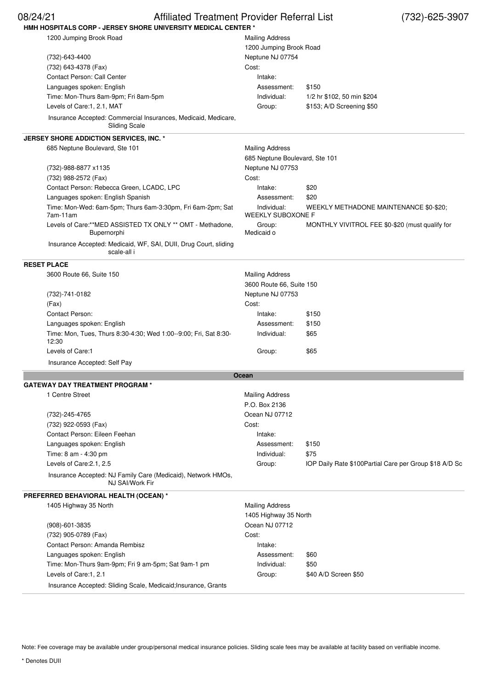| <b>Affiliated Treatment Provider Referral List</b><br>08/24/21<br>HMH HOSPITALS CORP - JERSEY SHORE UNIVERSITY MEDICAL CENTER * |                                | $(732) - 625 - 3907$                                    |
|---------------------------------------------------------------------------------------------------------------------------------|--------------------------------|---------------------------------------------------------|
| 1200 Jumping Brook Road                                                                                                         | <b>Mailing Address</b>         |                                                         |
|                                                                                                                                 | 1200 Jumping Brook Road        |                                                         |
| (732)-643-4400                                                                                                                  | Neptune NJ 07754               |                                                         |
| (732) 643-4378 (Fax)                                                                                                            | Cost:                          |                                                         |
| Contact Person: Call Center                                                                                                     | Intake:                        |                                                         |
| Languages spoken: English                                                                                                       | Assessment:                    | \$150                                                   |
| Time: Mon-Thurs 8am-9pm; Fri 8am-5pm                                                                                            | Individual:                    | 1/2 hr \$102, 50 min \$204                              |
| Levels of Care:1, 2.1, MAT                                                                                                      | Group:                         | \$153; A/D Screening \$50                               |
| Insurance Accepted: Commercial Insurances, Medicaid, Medicare,<br><b>Sliding Scale</b>                                          |                                |                                                         |
| JERSEY SHORE ADDICTION SERVICES, INC. *                                                                                         |                                |                                                         |
| 685 Neptune Boulevard, Ste 101                                                                                                  | <b>Mailing Address</b>         |                                                         |
|                                                                                                                                 | 685 Neptune Boulevard, Ste 101 |                                                         |
| (732)-988-8877 x1135                                                                                                            | Neptune NJ 07753               |                                                         |
| (732) 988-2572 (Fax)                                                                                                            | Cost:                          |                                                         |
| Contact Person: Rebecca Green, LCADC, LPC                                                                                       | Intake:                        | \$20                                                    |
| Languages spoken: English Spanish                                                                                               | Assessment:                    | \$20                                                    |
| Time: Mon-Wed: 6am-5pm; Thurs 6am-3:30pm, Fri 6am-2pm; Sat                                                                      | Individual:                    |                                                         |
| 7am-11am                                                                                                                        | <b>WEEKLY SUBOXONE F</b>       | WEEKLY METHADONE MAINTENANCE \$0-\$20;                  |
| Levels of Care:**MED ASSISTED TX ONLY ** OMT - Methadone,<br>Bupernorphi                                                        | Group:<br>Medicaid o           | MONTHLY VIVITROL FEE \$0-\$20 (must qualify for         |
| Insurance Accepted: Medicaid, WF, SAI, DUII, Drug Court, sliding<br>scale-all i                                                 |                                |                                                         |
| <b>RESET PLACE</b>                                                                                                              |                                |                                                         |
| 3600 Route 66, Suite 150                                                                                                        | <b>Mailing Address</b>         |                                                         |
|                                                                                                                                 | 3600 Route 66, Suite 150       |                                                         |
| (732)-741-0182                                                                                                                  | Neptune NJ 07753               |                                                         |
| (Fax)                                                                                                                           | Cost:                          |                                                         |
| Contact Person:                                                                                                                 | Intake:                        | \$150                                                   |
| Languages spoken: English                                                                                                       | Assessment:                    | \$150                                                   |
| Time: Mon, Tues, Thurs 8:30-4:30; Wed 1:00--9:00; Fri, Sat 8:30-<br>12:30                                                       | Individual:                    | \$65                                                    |
| Levels of Care:1                                                                                                                | Group:                         | \$65                                                    |
| Insurance Accepted: Self Pay                                                                                                    |                                |                                                         |
|                                                                                                                                 | Ocean                          |                                                         |
| <b>GATEWAY DAY TREATMENT PROGRAM *</b>                                                                                          |                                |                                                         |
| 1 Centre Street                                                                                                                 | <b>Mailing Address</b>         |                                                         |
|                                                                                                                                 | P.O. Box 2136                  |                                                         |
| (732)-245-4765                                                                                                                  | Ocean NJ 07712                 |                                                         |
| (732) 922-0593 (Fax)                                                                                                            | Cost:                          |                                                         |
| Contact Person: Eileen Feehan                                                                                                   | Intake:                        |                                                         |
| Languages spoken: English                                                                                                       | Assessment:                    | \$150                                                   |
| Time: 8 am - 4:30 pm                                                                                                            | Individual:                    | \$75                                                    |
| Levels of Care: 2.1, 2.5                                                                                                        | Group:                         | IOP Daily Rate \$100 Partial Care per Group \$18 A/D Sc |
| Insurance Accepted: NJ Family Care (Medicaid), Network HMOs,<br>NJ SAI/Work Fir                                                 |                                |                                                         |
|                                                                                                                                 |                                |                                                         |
| PREFERRED BEHAVIORAL HEALTH (OCEAN) *<br>1405 Highway 35 North                                                                  | <b>Mailing Address</b>         |                                                         |
|                                                                                                                                 | 1405 Highway 35 North          |                                                         |
| $(908) - 601 - 3835$                                                                                                            | Ocean NJ 07712                 |                                                         |
| (732) 905-0789 (Fax)                                                                                                            | Cost:                          |                                                         |
| Contact Person: Amanda Rembisz                                                                                                  | Intake:                        |                                                         |
| Languages spoken: English                                                                                                       | Assessment:                    | \$60                                                    |
| Time: Mon-Thurs 9am-9pm; Fri 9 am-5pm; Sat 9am-1 pm                                                                             | Individual:                    | \$50                                                    |
| Levels of Care:1, 2.1                                                                                                           | Group:                         | \$40 A/D Screen \$50                                    |
|                                                                                                                                 |                                |                                                         |
| Insurance Accepted: Sliding Scale, Medicaid; Insurance, Grants                                                                  |                                |                                                         |